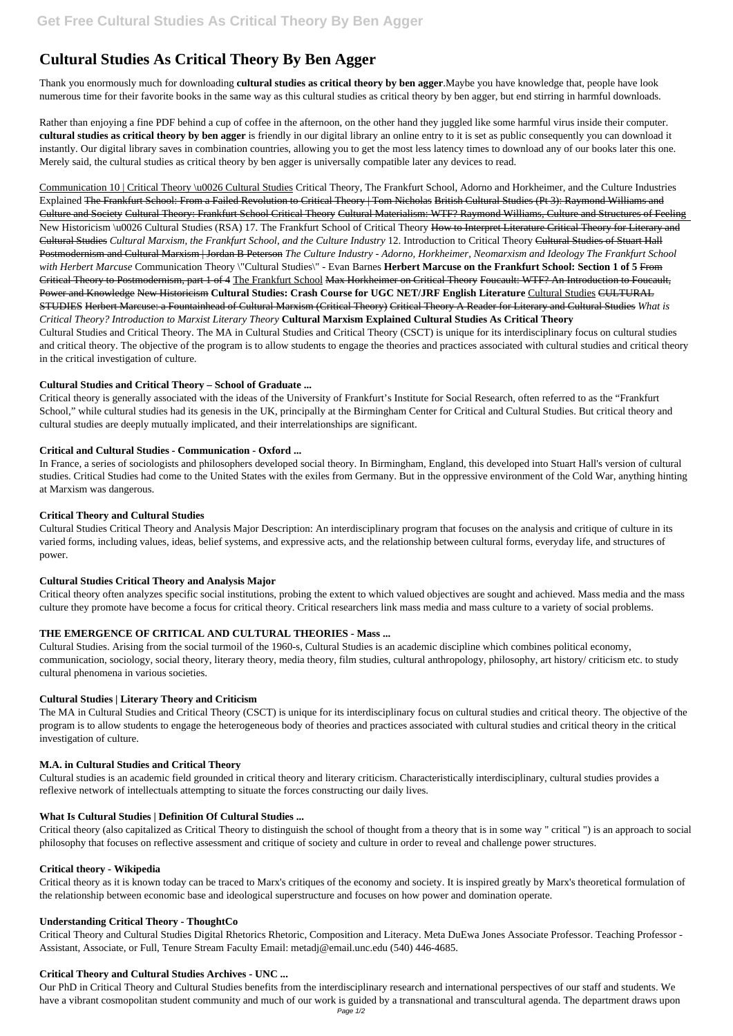# **Cultural Studies As Critical Theory By Ben Agger**

Thank you enormously much for downloading **cultural studies as critical theory by ben agger**.Maybe you have knowledge that, people have look numerous time for their favorite books in the same way as this cultural studies as critical theory by ben agger, but end stirring in harmful downloads.

Rather than enjoying a fine PDF behind a cup of coffee in the afternoon, on the other hand they juggled like some harmful virus inside their computer. **cultural studies as critical theory by ben agger** is friendly in our digital library an online entry to it is set as public consequently you can download it instantly. Our digital library saves in combination countries, allowing you to get the most less latency times to download any of our books later this one. Merely said, the cultural studies as critical theory by ben agger is universally compatible later any devices to read.

Communication 10 | Critical Theory \u0026 Cultural Studies Critical Theory, The Frankfurt School, Adorno and Horkheimer, and the Culture Industries Explained The Frankfurt School: From a Failed Revolution to Critical Theory | Tom Nicholas British Cultural Studies (Pt 3): Raymond Williams and Culture and Society Cultural Theory: Frankfurt School Critical Theory Cultural Materialism: WTF? Raymond Williams, Culture and Structures of Feeling New Historicism \u0026 Cultural Studies (RSA) 17. The Frankfurt School of Critical Theory How to Interpret Literature Critical Theory for Literary and Cultural Studies *Cultural Marxism, the Frankfurt School, and the Culture Industry* 12. Introduction to Critical Theory Cultural Studies of Stuart Hall Postmodernism and Cultural Marxism | Jordan B Peterson *The Culture Industry - Adorno, Horkheimer, Neomarxism and Ideology The Frankfurt School with Herbert Marcuse* Communication Theory \"Cultural Studies\" - Evan Barnes **Herbert Marcuse on the Frankfurt School: Section 1 of 5** From Critical Theory to Postmodernism, part 1 of 4 The Frankfurt School Max Horkheimer on Critical Theory Foucault: WTF? An Introduction to Foucault, Power and Knowledge New Historicism **Cultural Studies: Crash Course for UGC NET/JRF English Literature** Cultural Studies CULTURAL STUDIES Herbert Marcuse: a Fountainhead of Cultural Marxism (Critical Theory) Critical Theory A Reader for Literary and Cultural Studies *What is Critical Theory? Introduction to Marxist Literary Theory* **Cultural Marxism Explained Cultural Studies As Critical Theory** Cultural Studies and Critical Theory. The MA in Cultural Studies and Critical Theory (CSCT) is unique for its interdisciplinary focus on cultural studies and critical theory. The objective of the program is to allow students to engage the theories and practices associated with cultural studies and critical theory in the critical investigation of culture.

#### **Cultural Studies and Critical Theory – School of Graduate ...**

Critical theory is generally associated with the ideas of the University of Frankfurt's Institute for Social Research, often referred to as the "Frankfurt School," while cultural studies had its genesis in the UK, principally at the Birmingham Center for Critical and Cultural Studies. But critical theory and cultural studies are deeply mutually implicated, and their interrelationships are significant.

## **Critical and Cultural Studies - Communication - Oxford ...**

In France, a series of sociologists and philosophers developed social theory. In Birmingham, England, this developed into Stuart Hall's version of cultural studies. Critical Studies had come to the United States with the exiles from Germany. But in the oppressive environment of the Cold War, anything hinting at Marxism was dangerous.

## **Critical Theory and Cultural Studies**

Cultural Studies Critical Theory and Analysis Major Description: An interdisciplinary program that focuses on the analysis and critique of culture in its varied forms, including values, ideas, belief systems, and expressive acts, and the relationship between cultural forms, everyday life, and structures of power.

#### **Cultural Studies Critical Theory and Analysis Major**

Critical theory often analyzes specific social institutions, probing the extent to which valued objectives are sought and achieved. Mass media and the mass culture they promote have become a focus for critical theory. Critical researchers link mass media and mass culture to a variety of social problems.

## **THE EMERGENCE OF CRITICAL AND CULTURAL THEORIES - Mass ...**

Cultural Studies. Arising from the social turmoil of the 1960-s, Cultural Studies is an academic discipline which combines political economy, communication, sociology, social theory, literary theory, media theory, film studies, cultural anthropology, philosophy, art history/ criticism etc. to study cultural phenomena in various societies.

#### **Cultural Studies | Literary Theory and Criticism**

The MA in Cultural Studies and Critical Theory (CSCT) is unique for its interdisciplinary focus on cultural studies and critical theory. The objective of the program is to allow students to engage the heterogeneous body of theories and practices associated with cultural studies and critical theory in the critical investigation of culture.

#### **M.A. in Cultural Studies and Critical Theory**

Cultural studies is an academic field grounded in critical theory and literary criticism. Characteristically interdisciplinary, cultural studies provides a

reflexive network of intellectuals attempting to situate the forces constructing our daily lives.

#### **What Is Cultural Studies | Definition Of Cultural Studies ...**

Critical theory (also capitalized as Critical Theory to distinguish the school of thought from a theory that is in some way " critical ") is an approach to social philosophy that focuses on reflective assessment and critique of society and culture in order to reveal and challenge power structures.

#### **Critical theory - Wikipedia**

Critical theory as it is known today can be traced to Marx's critiques of the economy and society. It is inspired greatly by Marx's theoretical formulation of the relationship between economic base and ideological superstructure and focuses on how power and domination operate.

#### **Understanding Critical Theory - ThoughtCo**

Critical Theory and Cultural Studies Digital Rhetorics Rhetoric, Composition and Literacy. Meta DuEwa Jones Associate Professor. Teaching Professor - Assistant, Associate, or Full, Tenure Stream Faculty Email: metadj@email.unc.edu (540) 446-4685.

#### **Critical Theory and Cultural Studies Archives - UNC ...**

Our PhD in Critical Theory and Cultural Studies benefits from the interdisciplinary research and international perspectives of our staff and students. We have a vibrant cosmopolitan student community and much of our work is guided by a transnational and transcultural agenda. The department draws upon Page 1/2